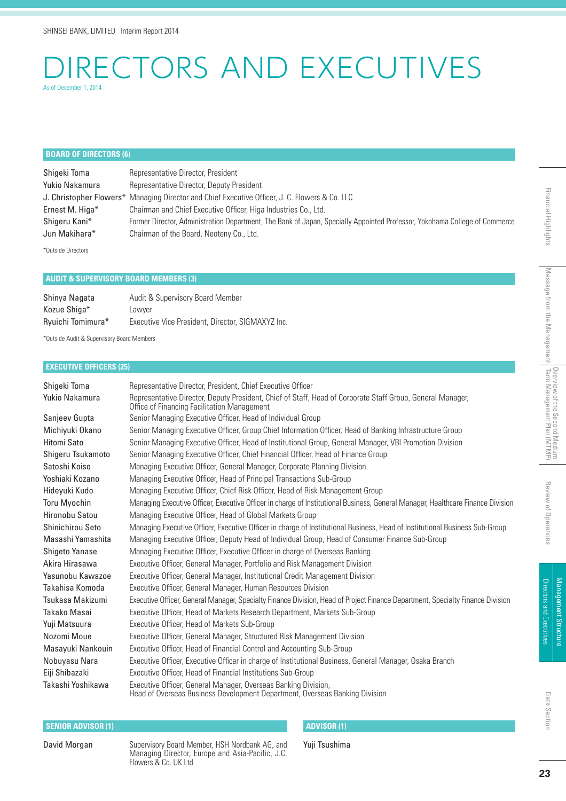## CTORS AND EXECUTIVES As of December 1, 2014

#### **BOARD OF DIRECTORS (6)**

Shigeki Toma<br>
Representative Director, President Yukio Nakamura Representative Director, Deputy President J. Christopher Flowers\* Managing Director and Chief Executive Officer, J. C. Flowers & Co. LLC Ernest M. Higa\* Chairman and Chief Executive Officer, Higa Industries Co., Ltd. Shigeru Kani\* Former Director, Administration Department, The Bank of Japan, Specially Appointed Professor, Yokohama College of Commerce Jun Makihara\* Chairman of the Board, Neoteny Co., Ltd.

\*Outside Directors

#### **AUDIT & SUPERVISORY BOARD MEMBERS (3)**

| Shinya Nagata     | Audit & Supervisory Board Member                  |
|-------------------|---------------------------------------------------|
| Kozue Shiga*      | Lawver                                            |
| Ryuichi Tomimura* | Executive Vice President, Director, SIGMAXYZ Inc. |

\*Outside Audit & Supervisory Board Members

#### **EXECUTIVE OFFICERS (25)**

| Shiqeki Toma          | Representative Director, President, Chief Executive Officer                                                                                               |
|-----------------------|-----------------------------------------------------------------------------------------------------------------------------------------------------------|
| Yukio Nakamura        | Representative Director, Deputy President, Chief of Staff, Head of Corporate Staff Group, General Manager,<br>Office of Financing Facilitation Management |
| Sanjeev Gupta         | Senior Managing Executive Officer, Head of Individual Group                                                                                               |
| Michiyuki Okano       | Senior Managing Executive Officer, Group Chief Information Officer, Head of Banking Infrastructure Group                                                  |
| Hitomi Sato           | Senior Managing Executive Officer, Head of Institutional Group, General Manager, VBI Promotion Division                                                   |
| Shigeru Tsukamoto     | Senior Managing Executive Officer, Chief Financial Officer, Head of Finance Group                                                                         |
| Satoshi Koiso         | Managing Executive Officer, General Manager, Corporate Planning Division                                                                                  |
| Yoshiaki Kozano       | Managing Executive Officer, Head of Principal Transactions Sub-Group                                                                                      |
| Hideyuki Kudo         | Managing Executive Officer, Chief Risk Officer, Head of Risk Management Group                                                                             |
| <b>Toru Myochin</b>   | Managing Executive Officer, Executive Officer in charge of Institutional Business, General Manager, Healthcare Finance Division                           |
| Hironobu Satou        | Managing Executive Officer, Head of Global Markets Group                                                                                                  |
| Shinichirou Seto      | Managing Executive Officer, Executive Officer in charge of Institutional Business, Head of Institutional Business Sub-Group                               |
| Masashi Yamashita     | Managing Executive Officer, Deputy Head of Individual Group, Head of Consumer Finance Sub-Group                                                           |
| <b>Shigeto Yanase</b> | Managing Executive Officer, Executive Officer in charge of Overseas Banking                                                                               |
| Akira Hirasawa        | Executive Officer, General Manager, Portfolio and Risk Management Division                                                                                |
| Yasunobu Kawazoe      | Executive Officer, General Manager, Institutional Credit Management Division                                                                              |
| Takahisa Komoda       | Executive Officer, General Manager, Human Resources Division                                                                                              |
| Tsukasa Makizumi      | Executive Officer, General Manager, Specialty Finance Division, Head of Project Finance Department, Specialty Finance Division                            |
| Takako Masai          | Executive Officer, Head of Markets Research Department, Markets Sub-Group                                                                                 |
| Yuji Matsuura         | Executive Officer, Head of Markets Sub-Group                                                                                                              |
| Nozomi Moue           | Executive Officer, General Manager, Structured Risk Management Division                                                                                   |
| Masayuki Nankouin     | Executive Officer, Head of Financial Control and Accounting Sub-Group                                                                                     |
| Nobuyasu Nara         | Executive Officer, Executive Officer in charge of Institutional Business, General Manager, Osaka Branch                                                   |
| Eiji Shibazaki        | Executive Officer, Head of Financial Institutions Sub-Group                                                                                               |
| Takashi Yoshikawa     | Executive Officer, General Manager, Overseas Banking Division,<br>Head of Overseas Business Development Department, Overseas Banking Division             |

#### **SENIOR ADVISOR (1) ADVISOR (1)**

David Morgan Supervisory Board Member, HSH Nordbank AG, and Managing Director, Europe and Asia-Pacific, J.C. Flowers & Co. UK Ltd

Yuji Tsushima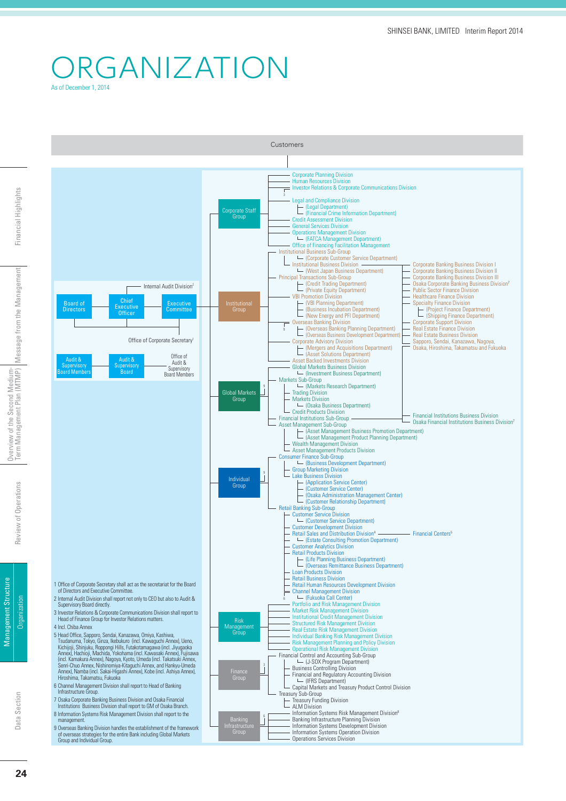### ORGANIZATION As of December 1, 2014

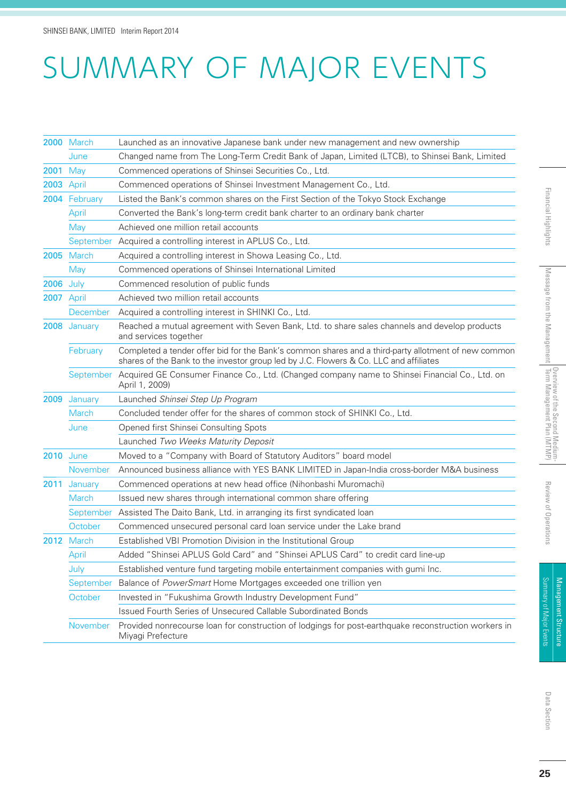# SUMMARY OF MAJOR EVENTS

|                  | 2000 March        | Launched as an innovative Japanese bank under new management and new ownership                                                                                                               |
|------------------|-------------------|----------------------------------------------------------------------------------------------------------------------------------------------------------------------------------------------|
|                  | June              | Changed name from The Long-Term Credit Bank of Japan, Limited (LTCB), to Shinsei Bank, Limited                                                                                               |
| <b>2001 May</b>  |                   | Commenced operations of Shinsei Securities Co., Ltd.                                                                                                                                         |
| 2003 April       |                   | Commenced operations of Shinsei Investment Management Co., Ltd.                                                                                                                              |
|                  | 2004 February     | Listed the Bank's common shares on the First Section of the Tokyo Stock Exchange                                                                                                             |
|                  | April             | Converted the Bank's long-term credit bank charter to an ordinary bank charter                                                                                                               |
|                  | May               | Achieved one million retail accounts                                                                                                                                                         |
|                  |                   | September Acquired a controlling interest in APLUS Co., Ltd.                                                                                                                                 |
|                  | <b>2005</b> March | Acquired a controlling interest in Showa Leasing Co., Ltd.                                                                                                                                   |
|                  | May               | Commenced operations of Shinsei International Limited                                                                                                                                        |
| <b>2006</b> July |                   | Commenced resolution of public funds                                                                                                                                                         |
| 2007 April       |                   | Achieved two million retail accounts                                                                                                                                                         |
|                  | December          | Acquired a controlling interest in SHINKI Co., Ltd.                                                                                                                                          |
|                  | 2008 January      | Reached a mutual agreement with Seven Bank, Ltd. to share sales channels and develop products<br>and services together                                                                       |
|                  | February          | Completed a tender offer bid for the Bank's common shares and a third-party allotment of new common<br>shares of the Bank to the investor group led by J.C. Flowers & Co. LLC and affiliates |
|                  |                   | September Acquired GE Consumer Finance Co., Ltd. (Changed company name to Shinsei Financial Co., Ltd. on<br>April 1, 2009)                                                                   |
| 2009             | January           | Launched Shinsei Step Up Program                                                                                                                                                             |
|                  | <b>March</b>      | Concluded tender offer for the shares of common stock of SHINKI Co., Ltd.                                                                                                                    |
|                  | June              | Opened first Shinsei Consulting Spots                                                                                                                                                        |
|                  |                   | Launched Two Weeks Maturity Deposit                                                                                                                                                          |
| <b>2010</b> June |                   | Moved to a "Company with Board of Statutory Auditors" board model                                                                                                                            |
|                  | November          | Announced business alliance with YES BANK LIMITED in Japan-India cross-border M&A business                                                                                                   |
| 2011             | January           | Commenced operations at new head office (Nihonbashi Muromachi)                                                                                                                               |
|                  | <b>March</b>      | Issued new shares through international common share offering                                                                                                                                |
|                  | September         | Assisted The Daito Bank, Ltd. in arranging its first syndicated loan                                                                                                                         |
|                  | October           | Commenced unsecured personal card loan service under the Lake brand                                                                                                                          |
|                  | 2012 March        | Established VBI Promotion Division in the Institutional Group                                                                                                                                |
|                  | April             | Added "Shinsei APLUS Gold Card" and "Shinsei APLUS Card" to credit card line-up                                                                                                              |
|                  | July              | Established venture fund targeting mobile entertainment companies with gumi Inc.                                                                                                             |
|                  | September         | Balance of PowerSmart Home Mortgages exceeded one trillion yen                                                                                                                               |
|                  | October           | Invested in "Fukushima Growth Industry Development Fund"                                                                                                                                     |
|                  |                   | Issued Fourth Series of Unsecured Callable Subordinated Bonds                                                                                                                                |
|                  | November          | Provided nonrecourse loan for construction of lodgings for post-earthquake reconstruction workers in<br>Miyagi Prefecture                                                                    |